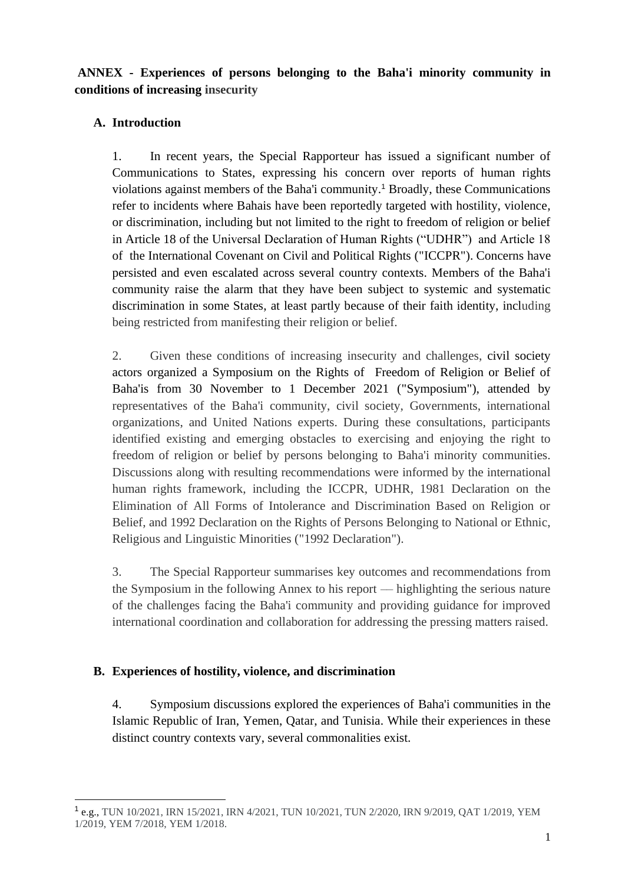**ANNEX - Experiences of persons belonging to the Baha'i minority community in conditions of increasing insecurity** 

# **A. Introduction**

1. In recent years, the Special Rapporteur has issued a significant number of Communications to States, expressing his concern over reports of human rights violations against members of the Baha'i community.<sup>1</sup> Broadly, these Communications refer to incidents where Bahais have been reportedly targeted with hostility, violence, or discrimination, including but not limited to the right to freedom of religion or belief in Article 18 of the Universal Declaration of Human Rights ("UDHR") and Article 18 of the International Covenant on Civil and Political Rights ("ICCPR"). Concerns have persisted and even escalated across several country contexts. Members of the Baha'i community raise the alarm that they have been subject to systemic and systematic discrimination in some States, at least partly because of their faith identity, including being restricted from manifesting their religion or belief.

2. Given these conditions of increasing insecurity and challenges, civil society actors organized a Symposium on the Rights of Freedom of Religion or Belief of Baha'is from 30 November to 1 December 2021 ("Symposium"), attended by representatives of the Baha'i community, civil society, Governments, international organizations, and United Nations experts. During these consultations, participants identified existing and emerging obstacles to exercising and enjoying the right to freedom of religion or belief by persons belonging to Baha'i minority communities. Discussions along with resulting recommendations were informed by the international human rights framework, including the ICCPR, UDHR, 1981 Declaration on the Elimination of All Forms of Intolerance and Discrimination Based on Religion or Belief, and 1992 Declaration on the Rights of Persons Belonging to National or Ethnic, Religious and Linguistic Minorities ("1992 Declaration").

3. The Special Rapporteur summarises key outcomes and recommendations from the Symposium in the following Annex to his report –– highlighting the serious nature of the challenges facing the Baha'i community and providing guidance for improved international coordination and collaboration for addressing the pressing matters raised.

## **B. Experiences of hostility, violence, and discrimination**

4. Symposium discussions explored the experiences of Baha'i communities in the Islamic Republic of Iran, Yemen, Qatar, and Tunisia. While their experiences in these distinct country contexts vary, several commonalities exist.

<sup>1</sup> e.g., TUN 10/2021, IRN 15/2021, IRN 4/2021, TUN 10/2021, TUN 2/2020, IRN 9/2019, QAT 1/2019, YEM 1/2019, YEM 7/2018, YEM 1/2018.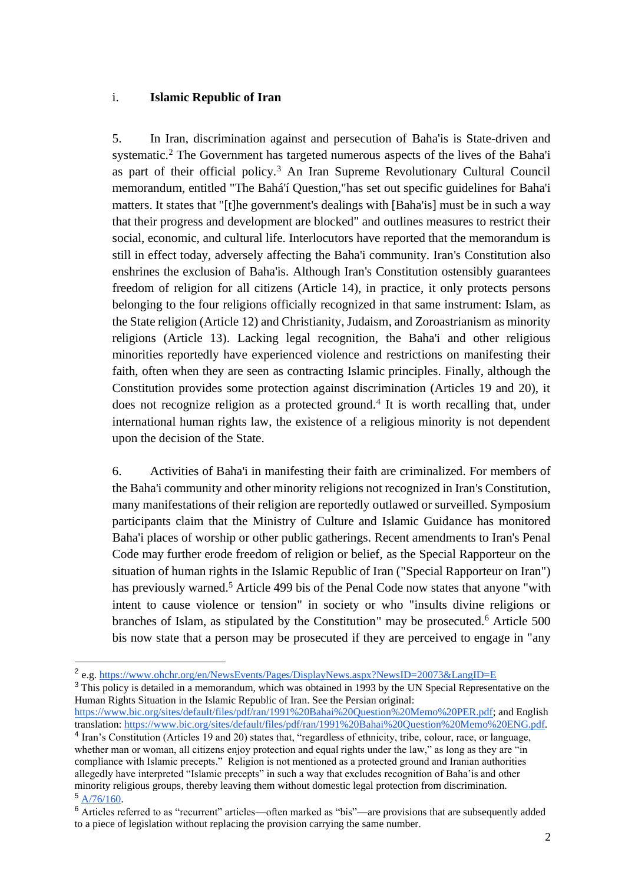#### i. **Islamic Republic of Iran**

5. In Iran, discrimination against and persecution of Baha'is is State-driven and systematic.<sup>2</sup> The Government has targeted numerous aspects of the lives of the Baha'i as part of their official policy.<sup>3</sup> An Iran Supreme Revolutionary Cultural Council memorandum, entitled "The Bahá'í Question,"has set out specific guidelines for Baha'i matters. It states that "[t]he government's dealings with [Baha'is] must be in such a way that their progress and development are blocked" and outlines measures to restrict their social, economic, and cultural life. Interlocutors have reported that the memorandum is still in effect today, adversely affecting the Baha'i community. Iran's Constitution also enshrines the exclusion of Baha'is. Although Iran's Constitution ostensibly guarantees freedom of religion for all citizens (Article 14), in practice, it only protects persons belonging to the four religions officially recognized in that same instrument: Islam, as the State religion (Article 12) and Christianity, Judaism, and Zoroastrianism as minority religions (Article 13). Lacking legal recognition, the Baha'i and other religious minorities reportedly have experienced violence and restrictions on manifesting their faith, often when they are seen as contracting Islamic principles. Finally, although the Constitution provides some protection against discrimination (Articles 19 and 20), it does not recognize religion as a protected ground.<sup>4</sup> It is worth recalling that, under international human rights law, the existence of a religious minority is not dependent upon the decision of the State.

6. Activities of Baha'i in manifesting their faith are criminalized. For members of the Baha'i community and other minority religions not recognized in Iran's Constitution, many manifestations of their religion are reportedly outlawed or surveilled. Symposium participants claim that the Ministry of Culture and Islamic Guidance has monitored Baha'i places of worship or other public gatherings. Recent amendments to Iran's Penal Code may further erode freedom of religion or belief, as the Special Rapporteur on the situation of human rights in the Islamic Republic of Iran ("Special Rapporteur on Iran") has previously warned.<sup>5</sup> Article 499 bis of the Penal Code now states that anyone "with intent to cause violence or tension" in society or who "insults divine religions or branches of Islam, as stipulated by the Constitution" may be prosecuted.<sup>6</sup> Article 500 bis now state that a person may be prosecuted if they are perceived to engage in "any

<sup>&</sup>lt;sup>2</sup> e.g[. https://www.ohchr.org/en/NewsEvents/Pages/DisplayNews.aspx?NewsID=20073&LangID=E](https://www.ohchr.org/en/NewsEvents/Pages/DisplayNews.aspx?NewsID=20073&LangID=E)

<sup>&</sup>lt;sup>3</sup> This policy is detailed in a memorandum, which was obtained in 1993 by the UN Special Representative on the Human Rights Situation in the Islamic Republic of Iran. See the Persian original:

[https://www.bic.org/sites/default/files/pdf/ran/1991%20Bahai%20Question%20Memo%20PER.pdf;](https://www.bic.org/sites/default/files/pdf/ran/1991%20Bahai%20Question%20Memo%20PER.pdf) and English translation[: https://www.bic.org/sites/default/files/pdf/ran/1991%20Bahai%20Question%20Memo%20ENG.pdf.](https://www.bic.org/sites/default/files/pdf/ran/1991%20Bahai%20Question%20Memo%20ENG.pdf)

<sup>&</sup>lt;sup>4</sup> Iran's Constitution (Articles 19 and 20) states that, "regardless of ethnicity, tribe, colour, race, or language, whether man or woman, all citizens enjoy protection and equal rights under the law," as long as they are "in compliance with Islamic precepts." Religion is not mentioned as a protected ground and Iranian authorities allegedly have interpreted "Islamic precepts" in such a way that excludes recognition of Baha'is and other minority religious groups, thereby leaving them without domestic legal protection from discrimination. <sup>5</sup> [A/76/160.](https://undocs.org/en/A/76/160)

<sup>&</sup>lt;sup>6</sup> Articles referred to as "recurrent" articles—often marked as "bis"—are provisions that are subsequently added to a piece of legislation without replacing the provision carrying the same number.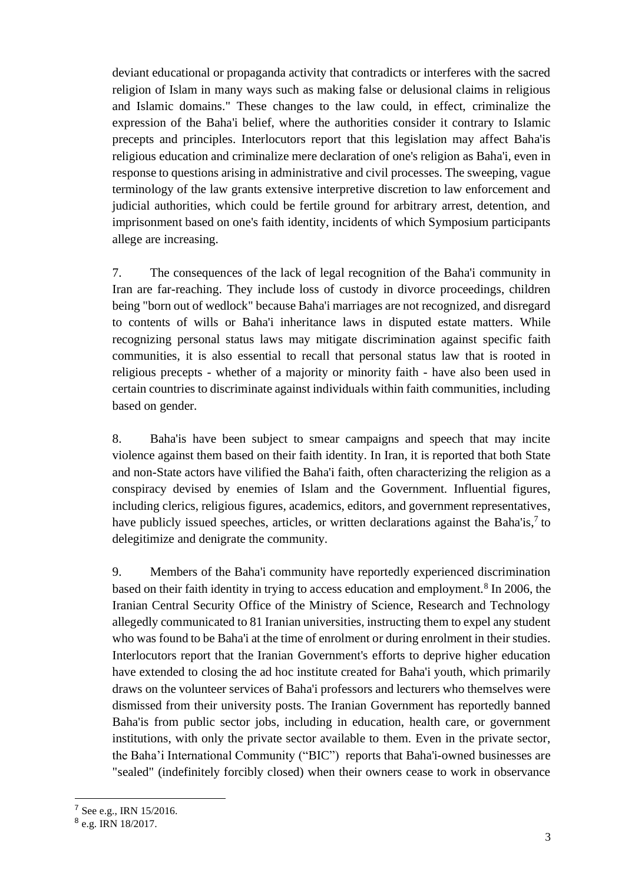deviant educational or propaganda activity that contradicts or interferes with the sacred religion of Islam in many ways such as making false or delusional claims in religious and Islamic domains." These changes to the law could, in effect, criminalize the expression of the Baha'i belief, where the authorities consider it contrary to Islamic precepts and principles. Interlocutors report that this legislation may affect Baha'is religious education and criminalize mere declaration of one's religion as Baha'i, even in response to questions arising in administrative and civil processes. The sweeping, vague terminology of the law grants extensive interpretive discretion to law enforcement and judicial authorities, which could be fertile ground for arbitrary arrest, detention, and imprisonment based on one's faith identity, incidents of which Symposium participants allege are increasing.

7. The consequences of the lack of legal recognition of the Baha'i community in Iran are far-reaching. They include loss of custody in divorce proceedings, children being "born out of wedlock" because Baha'i marriages are not recognized, and disregard to contents of wills or Baha'i inheritance laws in disputed estate matters. While recognizing personal status laws may mitigate discrimination against specific faith communities, it is also essential to recall that personal status law that is rooted in religious precepts - whether of a majority or minority faith - have also been used in certain countries to discriminate against individuals within faith communities, including based on gender.

8. Baha'is have been subject to smear campaigns and speech that may incite violence against them based on their faith identity. In Iran, it is reported that both State and non-State actors have vilified the Baha'i faith, often characterizing the religion as a conspiracy devised by enemies of Islam and the Government. Influential figures, including clerics, religious figures, academics, editors, and government representatives, have publicly issued speeches, articles, or written declarations against the Baha'is,<sup>7</sup> to delegitimize and denigrate the community.

9. Members of the Baha'i community have reportedly experienced discrimination based on their faith identity in trying to access education and employment.<sup>8</sup> In 2006, the Iranian Central Security Office of the Ministry of Science, Research and Technology allegedly communicated to 81 Iranian universities, instructing them to expel any student who was found to be Baha'i at the time of enrolment or during enrolment in their studies. Interlocutors report that the Iranian Government's efforts to deprive higher education have extended to closing the ad hoc institute created for Baha'i youth, which primarily draws on the volunteer services of Baha'i professors and lecturers who themselves were dismissed from their university posts. The Iranian Government has reportedly banned Baha'is from public sector jobs, including in education, health care, or government institutions, with only the private sector available to them. Even in the private sector, the Baha'i International Community ("BIC") reports that Baha'i-owned businesses are "sealed" (indefinitely forcibly closed) when their owners cease to work in observance

<sup>7</sup> See e.g., IRN 15/2016.

<sup>&</sup>lt;sup>8</sup> e.g. IRN 18/2017.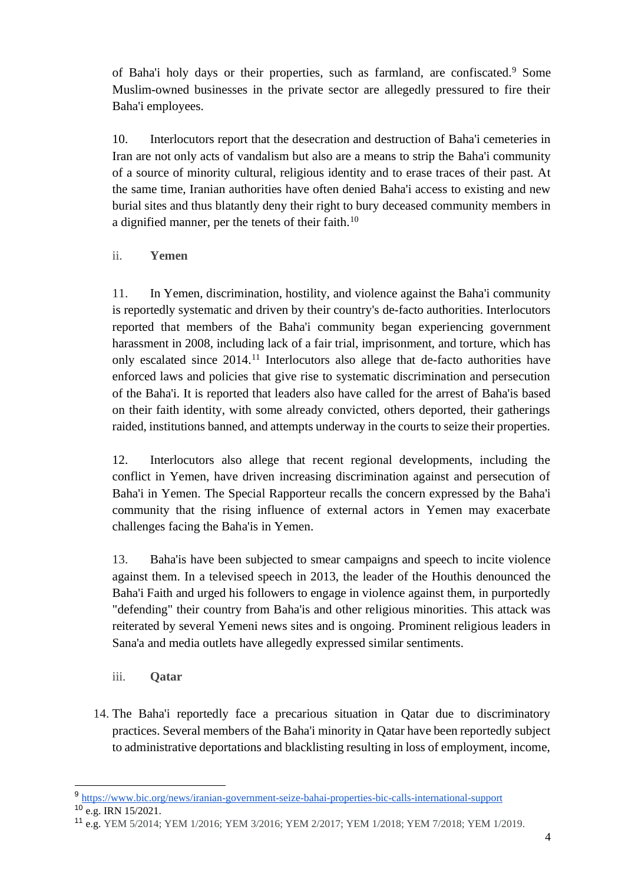of Baha'i holy days or their properties, such as farmland, are confiscated.<sup>9</sup> Some Muslim-owned businesses in the private sector are allegedly pressured to fire their Baha'i employees.

10. Interlocutors report that the desecration and destruction of Baha'i cemeteries in Iran are not only acts of vandalism but also are a means to strip the Baha'i community of a source of minority cultural, religious identity and to erase traces of their past. At the same time, Iranian authorities have often denied Baha'i access to existing and new burial sites and thus blatantly deny their right to bury deceased community members in a dignified manner, per the tenets of their faith.<sup>10</sup>

## ii. **Yemen**

11. In Yemen, discrimination, hostility, and violence against the Baha'i community is reportedly systematic and driven by their country's de-facto authorities. Interlocutors reported that members of the Baha'i community began experiencing government harassment in 2008, including lack of a fair trial, imprisonment, and torture, which has only escalated since 2014.<sup>11</sup> Interlocutors also allege that de-facto authorities have enforced laws and policies that give rise to systematic discrimination and persecution of the Baha'i. It is reported that leaders also have called for the arrest of Baha'is based on their faith identity, with some already convicted, others deported, their gatherings raided, institutions banned, and attempts underway in the courts to seize their properties.

12. Interlocutors also allege that recent regional developments, including the conflict in Yemen, have driven increasing discrimination against and persecution of Baha'i in Yemen. The Special Rapporteur recalls the concern expressed by the Baha'i community that the rising influence of external actors in Yemen may exacerbate challenges facing the Baha'is in Yemen.

13. Baha'is have been subjected to smear campaigns and speech to incite violence against them. In a televised speech in 2013, the leader of the Houthis denounced the Baha'i Faith and urged his followers to engage in violence against them, in purportedly "defending" their country from Baha'is and other religious minorities. This attack was reiterated by several Yemeni news sites and is ongoing. Prominent religious leaders in Sana'a and media outlets have allegedly expressed similar sentiments.

- iii. **Qatar**
- 14. The Baha'i reportedly face a precarious situation in Qatar due to discriminatory practices. Several members of the Baha'i minority in Qatar have been reportedly subject to administrative deportations and blacklisting resulting in loss of employment, income,

<sup>9</sup> <https://www.bic.org/news/iranian-government-seize-bahai-properties-bic-calls-international-support>  $10 \overline{e.g.}$  IRN 15/2021.

<sup>11</sup> e.g. YEM 5/2014; YEM 1/2016; YEM 3/2016; YEM 2/2017; YEM 1/2018; YEM 7/2018; YEM 1/2019.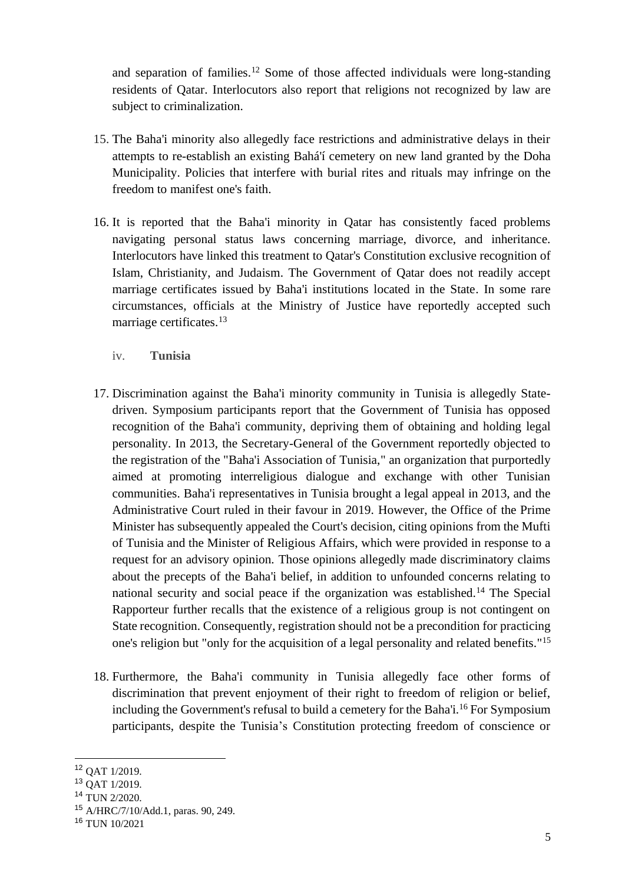and separation of families.<sup>12</sup> Some of those affected individuals were long-standing residents of Qatar. Interlocutors also report that religions not recognized by law are subject to criminalization.

- 15. The Baha'i minority also allegedly face restrictions and administrative delays in their attempts to re-establish an existing Bahá'í cemetery on new land granted by the Doha Municipality. Policies that interfere with burial rites and rituals may infringe on the freedom to manifest one's faith.
- 16. It is reported that the Baha'i minority in Qatar has consistently faced problems navigating personal status laws concerning marriage, divorce, and inheritance. Interlocutors have linked this treatment to Qatar's Constitution exclusive recognition of Islam, Christianity, and Judaism. The Government of Qatar does not readily accept marriage certificates issued by Baha'i institutions located in the State. In some rare circumstances, officials at the Ministry of Justice have reportedly accepted such marriage certificates.<sup>13</sup>
	- iv. **Tunisia**
- 17. Discrimination against the Baha'i minority community in Tunisia is allegedly Statedriven. Symposium participants report that the Government of Tunisia has opposed recognition of the Baha'i community, depriving them of obtaining and holding legal personality. In 2013, the Secretary-General of the Government reportedly objected to the registration of the "Baha'i Association of Tunisia," an organization that purportedly aimed at promoting interreligious dialogue and exchange with other Tunisian communities. Baha'i representatives in Tunisia brought a legal appeal in 2013, and the Administrative Court ruled in their favour in 2019. However, the Office of the Prime Minister has subsequently appealed the Court's decision, citing opinions from the Mufti of Tunisia and the Minister of Religious Affairs, which were provided in response to a request for an advisory opinion. Those opinions allegedly made discriminatory claims about the precepts of the Baha'i belief, in addition to unfounded concerns relating to national security and social peace if the organization was established.<sup>14</sup> The Special Rapporteur further recalls that the existence of a religious group is not contingent on State recognition. Consequently, registration should not be a precondition for practicing one's religion but "only for the acquisition of a legal personality and related benefits." 15
- 18. Furthermore, the Baha'i community in Tunisia allegedly face other forms of discrimination that prevent enjoyment of their right to freedom of religion or belief, including the Government's refusal to build a cemetery for the Baha'i. <sup>16</sup> For Symposium participants, despite the Tunisia's Constitution protecting freedom of conscience or

<sup>12</sup> QAT 1/2019.

<sup>13</sup> QAT 1/2019.

<sup>14</sup> TUN 2/2020.

<sup>15</sup> A/HRC/7/10/Add.1, paras. 90, 249.

<sup>16</sup> TUN 10/2021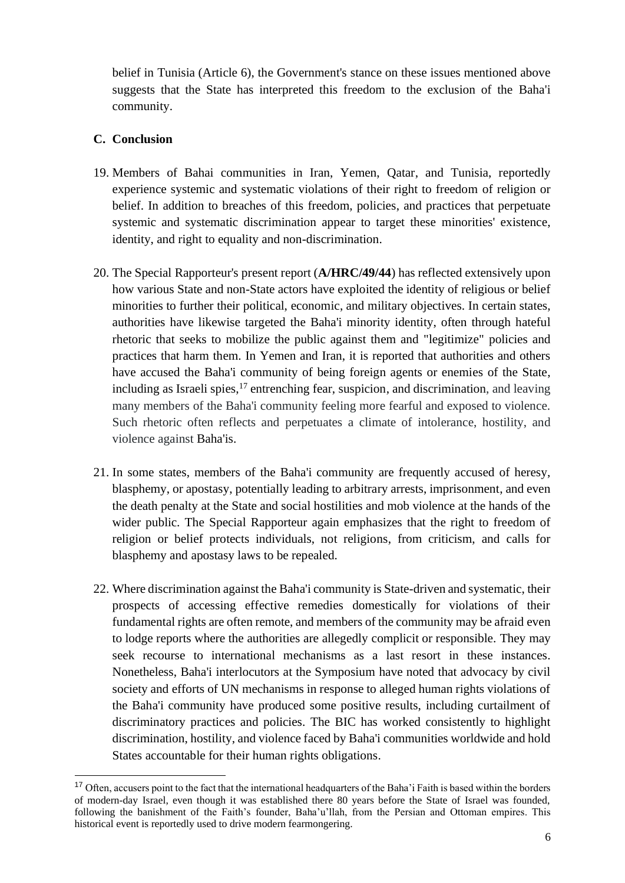belief in Tunisia (Article 6), the Government's stance on these issues mentioned above suggests that the State has interpreted this freedom to the exclusion of the Baha'i community.

#### **C. Conclusion**

- 19. Members of Bahai communities in Iran, Yemen, Qatar, and Tunisia, reportedly experience systemic and systematic violations of their right to freedom of religion or belief. In addition to breaches of this freedom, policies, and practices that perpetuate systemic and systematic discrimination appear to target these minorities' existence, identity, and right to equality and non-discrimination.
- 20. The Special Rapporteur's present report (**A/HRC/49/44**) has reflected extensively upon how various State and non-State actors have exploited the identity of religious or belief minorities to further their political, economic, and military objectives. In certain states, authorities have likewise targeted the Baha'i minority identity, often through hateful rhetoric that seeks to mobilize the public against them and "legitimize" policies and practices that harm them. In Yemen and Iran, it is reported that authorities and others have accused the Baha'i community of being foreign agents or enemies of the State, including as Israeli spies,  $17$  entrenching fear, suspicion, and discrimination, and leaving many members of the Baha'i community feeling more fearful and exposed to violence. Such rhetoric often reflects and perpetuates a climate of intolerance, hostility, and violence against Baha'is.
- 21. In some states, members of the Baha'i community are frequently accused of heresy, blasphemy, or apostasy, potentially leading to arbitrary arrests, imprisonment, and even the death penalty at the State and social hostilities and mob violence at the hands of the wider public. The Special Rapporteur again emphasizes that the right to freedom of religion or belief protects individuals, not religions, from criticism, and calls for blasphemy and apostasy laws to be repealed.
- 22. Where discrimination against the Baha'i community is State-driven and systematic, their prospects of accessing effective remedies domestically for violations of their fundamental rights are often remote, and members of the community may be afraid even to lodge reports where the authorities are allegedly complicit or responsible. They may seek recourse to international mechanisms as a last resort in these instances. Nonetheless, Baha'i interlocutors at the Symposium have noted that advocacy by civil society and efforts of UN mechanisms in response to alleged human rights violations of the Baha'i community have produced some positive results, including curtailment of discriminatory practices and policies. The BIC has worked consistently to highlight discrimination, hostility, and violence faced by Baha'i communities worldwide and hold States accountable for their human rights obligations.

<sup>&</sup>lt;sup>17</sup> Often, accusers point to the fact that the international headquarters of the Baha'i Faith is based within the borders of modern-day Israel, even though it was established there 80 years before the State of Israel was founded, following the banishment of the Faith's founder, Baha'u'llah, from the Persian and Ottoman empires. This historical event is reportedly used to drive modern fearmongering.